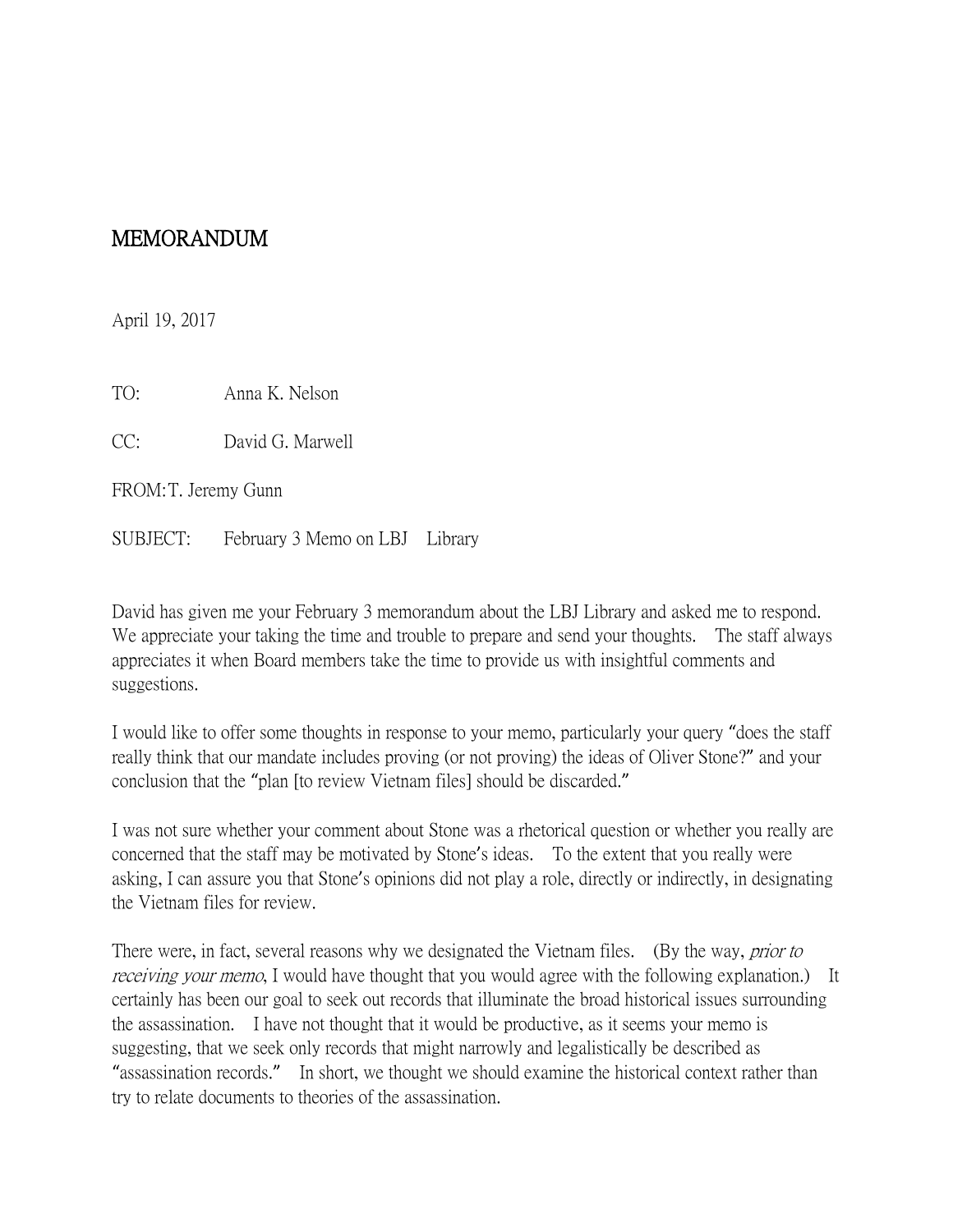## MEMORANDUM

April 19, 2017

TO: Anna K. Nelson

CC: David G. Marwell

FROM:T. Jeremy Gunn

SUBJECT: February 3 Memo on LBJ Library

David has given me your February 3 memorandum about the LBJ Library and asked me to respond. We appreciate your taking the time and trouble to prepare and send your thoughts. The staff always appreciates it when Board members take the time to provide us with insightful comments and suggestions.

I would like to offer some thoughts in response to your memo, particularly your query "does the staff really think that our mandate includes proving (or not proving) the ideas of Oliver Stone?" and your conclusion that the "plan [to review Vietnam files] should be discarded."

I was not sure whether your comment about Stone was a rhetorical question or whether you really are concerned that the staff may be motivated by Stone's ideas. To the extent that you really were asking, I can assure you that Stone's opinions did not play a role, directly or indirectly, in designating the Vietnam files for review.

There were, in fact, several reasons why we designated the Vietnam files. (By the way, *prior to receiving your memo*, I would have thought that you would agree with the following explanation.) It certainly has been our goal to seek out records that illuminate the broad historical issues surrounding the assassination. I have not thought that it would be productive, as it seems your memo is suggesting, that we seek only records that might narrowly and legalistically be described as "assassination records." In short, we thought we should examine the historical context rather than try to relate documents to theories of the assassination.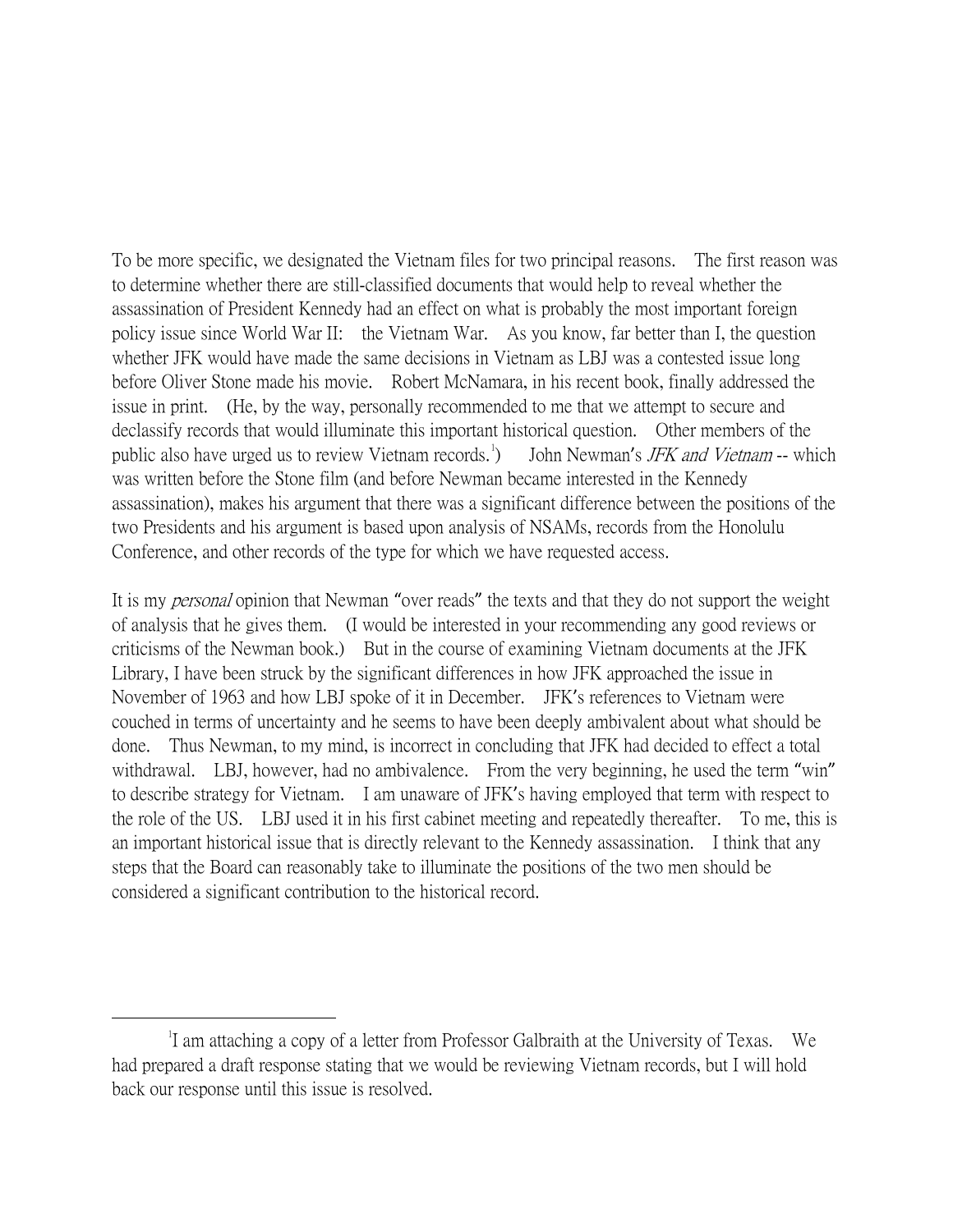To be more specific, we designated the Vietnam files for two principal reasons. The first reason was to determine whether there are still-classified documents that would help to reveal whether the assassination of President Kennedy had an effect on what is probably the most important foreign policy issue since World War II: the Vietnam War. As you know, far better than I, the question whether JFK would have made the same decisions in Vietnam as LBJ was a contested issue long before Oliver Stone made his movie. Robert McNamara, in his recent book, finally addressed the issue in print. (He, by the way, personally recommended to me that we attempt to secure and declassify records that would illuminate this important historical question. Other members of the public also have urged us to review Vietnam records.<sup>[1](#page-1-0)</sup> ) John Newman's JFK and Vietnam -- which was written before the Stone film (and before Newman became interested in the Kennedy assassination), makes his argument that there was a significant difference between the positions of the two Presidents and his argument is based upon analysis of NSAMs, records from the Honolulu Conference, and other records of the type for which we have requested access.

It is my *personal* opinion that Newman "over reads" the texts and that they do not support the weight of analysis that he gives them. (I would be interested in your recommending any good reviews or criticisms of the Newman book.) But in the course of examining Vietnam documents at the JFK Library, I have been struck by the significant differences in how JFK approached the issue in November of 1963 and how LBJ spoke of it in December. JFK's references to Vietnam were couched in terms of uncertainty and he seems to have been deeply ambivalent about what should be done. Thus Newman, to my mind, is incorrect in concluding that JFK had decided to effect a total withdrawal. LBJ, however, had no ambivalence. From the very beginning, he used the term "win" to describe strategy for Vietnam. I am unaware of JFK's having employed that term with respect to the role of the US. LBJ used it in his first cabinet meeting and repeatedly thereafter. To me, this is an important historical issue that is directly relevant to the Kennedy assassination. I think that any steps that the Board can reasonably take to illuminate the positions of the two men should be considered a significant contribution to the historical record.

<span id="page-1-0"></span> $\overline{\phantom{a}}$ <sup>1</sup>I am attaching a copy of a letter from Professor Galbraith at the University of Texas. We had prepared a draft response stating that we would be reviewing Vietnam records, but I will hold back our response until this issue is resolved.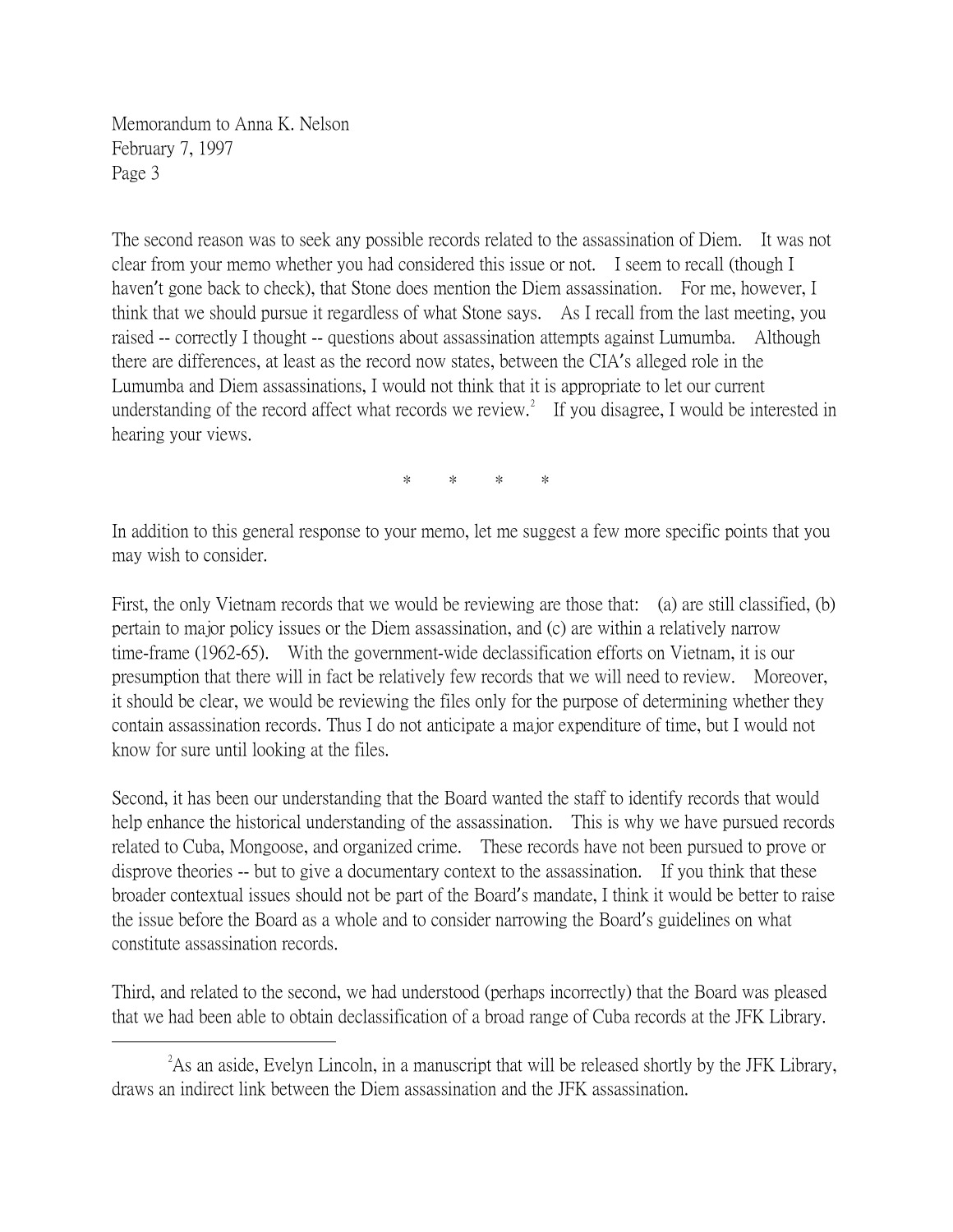Memorandum to Anna K. Nelson February 7, 1997 Page 3

The second reason was to seek any possible records related to the assassination of Diem. It was not clear from your memo whether you had considered this issue or not. I seem to recall (though I haven't gone back to check), that Stone does mention the Diem assassination. For me, however, I think that we should pursue it regardless of what Stone says. As I recall from the last meeting, you raised -- correctly I thought -- questions about assassination attempts against Lumumba. Although there are differences, at least as the record now states, between the CIA's alleged role in the Lumumba and Diem assassinations, I would not think that it is appropriate to let our current understanding of the record affect what records we review.<sup>[2](#page-2-0)</sup> If you disagree, I would be interested in hearing your views.

\* \* \* \*

In addition to this general response to your memo, let me suggest a few more specific points that you may wish to consider.

First, the only Vietnam records that we would be reviewing are those that: (a) are still classified, (b) pertain to major policy issues or the Diem assassination, and (c) are within a relatively narrow time-frame (1962-65). With the government-wide declassification efforts on Vietnam, it is our presumption that there will in fact be relatively few records that we will need to review. Moreover, it should be clear, we would be reviewing the files only for the purpose of determining whether they contain assassination records. Thus I do not anticipate a major expenditure of time, but I would not know for sure until looking at the files.

Second, it has been our understanding that the Board wanted the staff to identify records that would help enhance the historical understanding of the assassination. This is why we have pursued records related to Cuba, Mongoose, and organized crime. These records have not been pursued to prove or disprove theories -- but to give a documentary context to the assassination. If you think that these broader contextual issues should not be part of the Board's mandate, I think it would be better to raise the issue before the Board as a whole and to consider narrowing the Board's guidelines on what constitute assassination records.

Third, and related to the second, we had understood (perhaps incorrectly) that the Board was pleased that we had been able to obtain declassification of a broad range of Cuba records at the JFK Library.

<span id="page-2-0"></span> $\overline{\phantom{a}}$   $\overline{\phantom{a}}$   $\overline{\phantom{a}}$   $\overline{\phantom{a}}$  $^{2}$ As an aside, Evelyn Lincoln, in a manuscript that will be released shortly by the JFK Library, draws an indirect link between the Diem assassination and the JFK assassination.